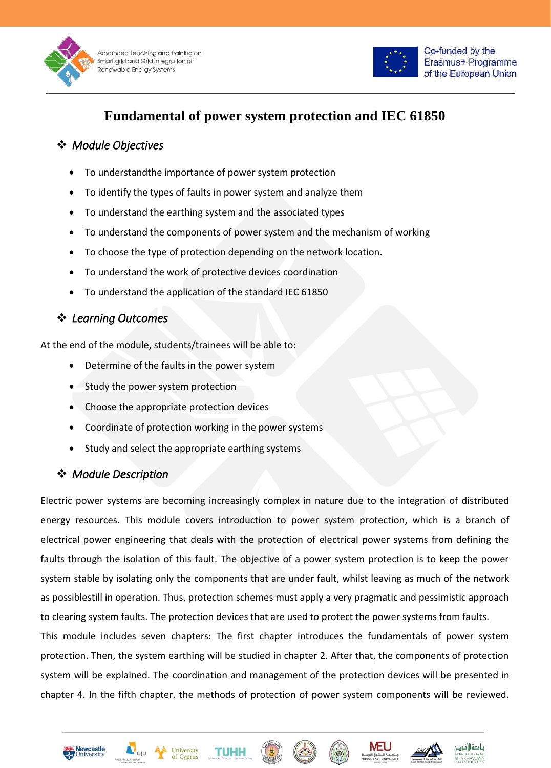



# **Fundamental of power system protection and IEC 61850**

# ❖ *Module Objectives*

- To understandthe importance of power system protection
- To identify the types of faults in power system and analyze them
- To understand the earthing system and the associated types
- To understand the components of power system and the mechanism of working
- To choose the type of protection depending on the network location.
- To understand the work of protective devices coordination
- To understand the application of the standard IEC 61850

### ❖ *Learning Outcomes*

At the end of the module, students/trainees will be able to:

- Determine of the faults in the power system
- Study the power system protection
- Choose the appropriate protection devices
- Coordinate of protection working in the power systems
- Study and select the appropriate earthing systems

## ❖ *Module Description*

Electric power systems are becoming increasingly complex in nature due to the integration of distributed energy resources. This module covers introduction to power system protection, which is a branch of electrical power engineering that deals with the protection of electrical power systems from defining the faults through the isolation of this fault. The objective of a power system protection is to keep the power system stable by isolating only the components that are under fault, whilst leaving as much of the network as possiblestill in operation. Thus, protection schemes must apply a very pragmatic and pessimistic approach to clearing system faults. The protection devices that are used to protect the power systems from faults.

This module includes seven chapters: The first chapter introduces the fundamentals of power system protection. Then, the system earthing will be studied in chapter 2. After that, the components of protection system will be explained. The coordination and management of the protection devices will be presented in chapter 4. In the fifth chapter, the methods of protection of power system components will be reviewed.











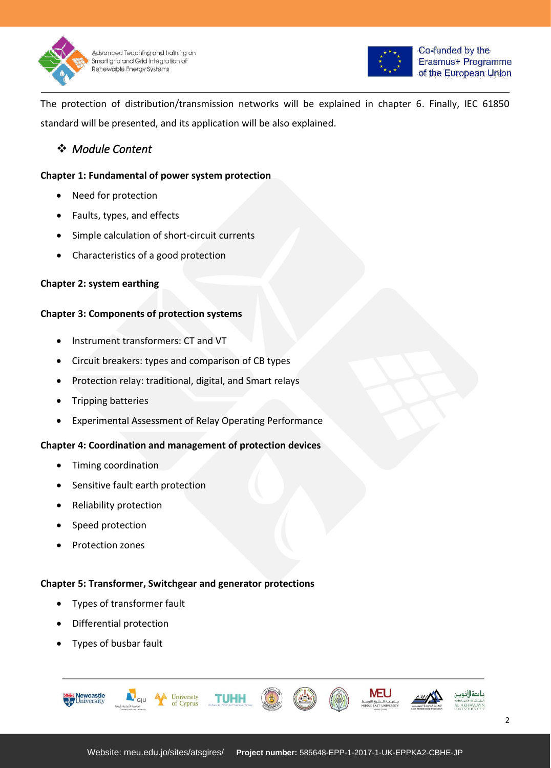



The protection of distribution/transmission networks will be explained in chapter 6. Finally, IEC 61850 standard will be presented, and its application will be also explained.

# ❖ *Module Content*

#### **Chapter 1: Fundamental of power system protection**

- Need for protection
- Faults, types, and effects
- Simple calculation of short-circuit currents
- Characteristics of a good protection

#### **Chapter 2: system earthing**

#### **Chapter 3: Components of protection systems**

- Instrument transformers: CT and VT
- Circuit breakers: types and comparison of CB types
- Protection relay: traditional, digital, and Smart relays
- Tripping batteries
- Experimental Assessment of Relay Operating Performance

#### **Chapter 4: Coordination and management of protection devices**

- Timing coordination
- Sensitive fault earth protection
- Reliability protection
- Speed protection
- Protection zones

#### **Chapter 5: Transformer, Switchgear and generator protections**

- Types of transformer fault
- Differential protection
- Types of busbar fault